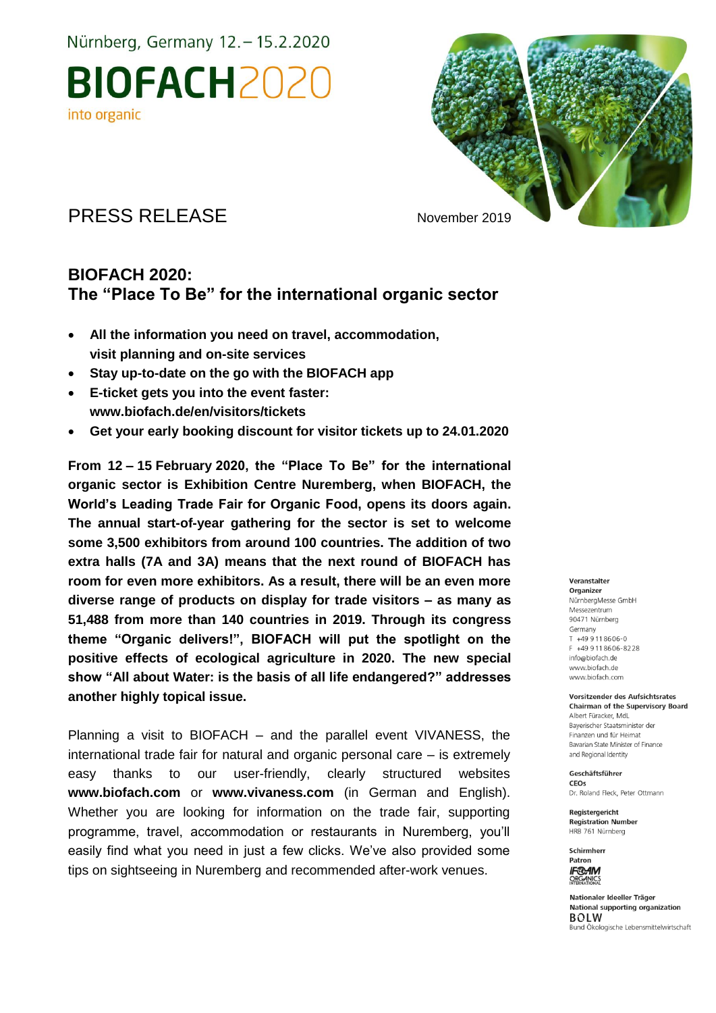Nürnberg, Germany 12. - 15.2.2020

**BIOFACH2020** into organic



### PRESS RELEASE November 2019

### **BIOFACH 2020: The "Place To Be" for the international organic sector**

- **All the information you need on travel, accommodation, visit planning and on-site services**
- **Stay up-to-date on the go with the BIOFACH app**
- **E-ticket gets you into the event faster: www.biofach.de/en/visitors/tickets**
- **Get your early booking discount for visitor tickets up to 24.01.2020**

**From 12 – 15 February 2020, the "Place To Be" for the international organic sector is Exhibition Centre Nuremberg, when BIOFACH, the World's Leading Trade Fair for Organic Food, opens its doors again. The annual start-of-year gathering for the sector is set to welcome some 3,500 exhibitors from around 100 countries. The addition of two extra halls (7A and 3A) means that the next round of BIOFACH has room for even more exhibitors. As a result, there will be an even more diverse range of products on display for trade visitors – as many as 51,488 from more than 140 countries in 2019. Through its congress theme "Organic delivers!", BIOFACH will put the spotlight on the positive effects of ecological agriculture in 2020. The new special show "All about Water: is the basis of all life endangered?" addresses another highly topical issue.**

Planning a visit to BIOFACH – and the parallel event VIVANESS, the international trade fair for natural and organic personal care – is extremely easy thanks to our user-friendly, clearly structured websites **www.biofach.com** or **www.vivaness.com** (in German and English). Whether you are looking for information on the trade fair, supporting programme, travel, accommodation or restaurants in Nuremberg, you'll easily find what you need in just a few clicks. We've also provided some tips on sightseeing in Nuremberg and recommended after-work venues.

#### Veranstalter

Organizer NürnbergMesse GmbH Messezentrum 90471 Nürnberg Germany  $T + 499118606 - 0$ F +49 9 11 8 6 0 6 - 8 2 2 8 info@biofach.de www.biofach.de www.biofach.com

Vorsitzender des Aufsichtsrates **Chairman of the Supervisory Board** Albert Füracker, MdL Baverischer Staatsminister de Finanzen und für Heimat Bavarian State Minister of Finance and Regional Identity

Geschäftsführer CEOs Dr. Roland Fleck, Peter Ottmann

Reaisteraericht **Registration Number** HRB 761 Nürnberg

Schirmherr Patron **IF®AM ORGANICS** 

Nationaler Ideeller Träger National supporting organization **BOLW** Bund Ökologische Lebensmittelwirtschaft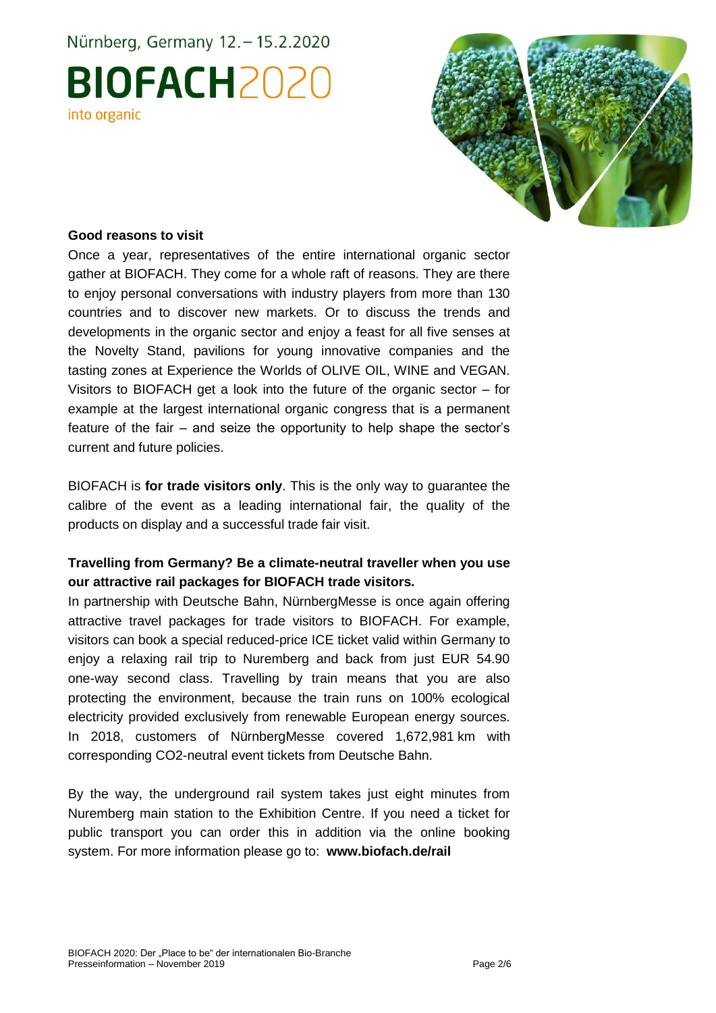# Nürnberg, Germany 12. - 15.2.2020 **BIOFACH2020** into organic



#### **Good reasons to visit**

Once a year, representatives of the entire international organic sector gather at BIOFACH. They come for a whole raft of reasons. They are there to enjoy personal conversations with industry players from more than 130 countries and to discover new markets. Or to discuss the trends and developments in the organic sector and enjoy a feast for all five senses at the Novelty Stand, pavilions for young innovative companies and the tasting zones at Experience the Worlds of OLIVE OIL, WINE and VEGAN. Visitors to BIOFACH get a look into the future of the organic sector – for example at the largest international organic congress that is a permanent feature of the fair – and seize the opportunity to help shape the sector's current and future policies.

BIOFACH is **for trade visitors only**. This is the only way to guarantee the calibre of the event as a leading international fair, the quality of the products on display and a successful trade fair visit.

#### **Travelling from Germany? Be a climate-neutral traveller when you use our attractive rail packages for BIOFACH trade visitors.**

In partnership with Deutsche Bahn, NürnbergMesse is once again offering attractive travel packages for trade visitors to BIOFACH. For example, visitors can book a special reduced-price ICE ticket valid within Germany to enjoy a relaxing rail trip to Nuremberg and back from just EUR 54.90 one-way second class. Travelling by train means that you are also protecting the environment, because the train runs on 100% ecological electricity provided exclusively from renewable European energy sources. In 2018, customers of NürnbergMesse covered 1,672,981 km with corresponding CO2-neutral event tickets from Deutsche Bahn.

By the way, the underground rail system takes just eight minutes from Nuremberg main station to the Exhibition Centre. If you need a ticket for public transport you can order this in addition via the online booking system. For more information please go to: **www.biofach.de/rail**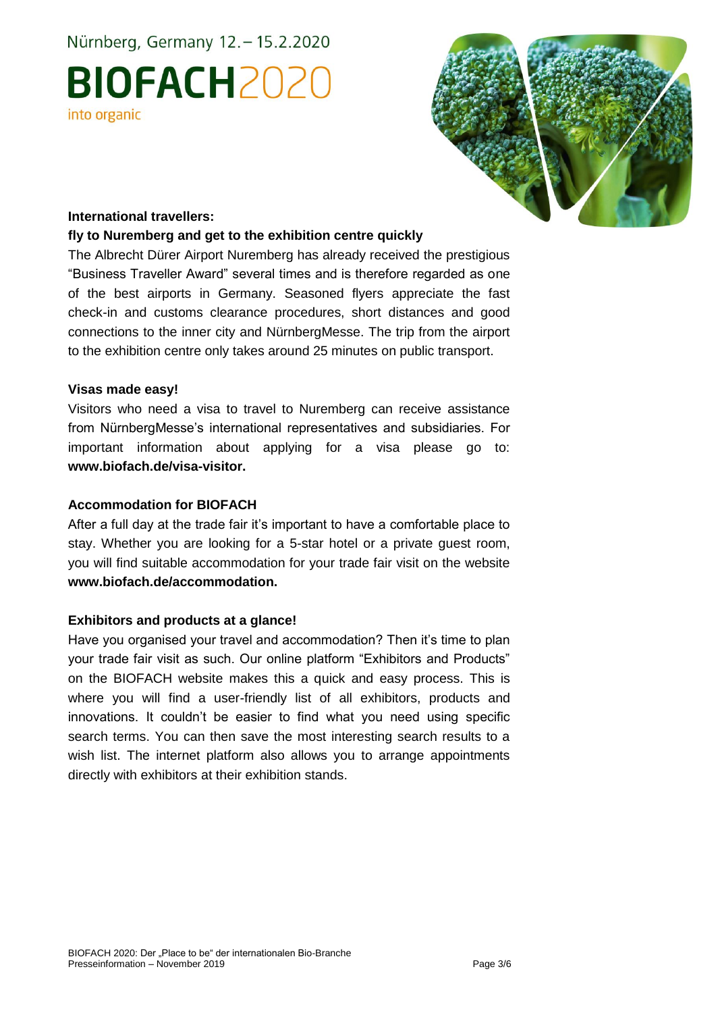Nürnberg, Germany 12. - 15.2.2020

# **BIOFACH2020** into organic



#### **International travellers:**

#### **fly to Nuremberg and get to the exhibition centre quickly**

The Albrecht Dürer Airport Nuremberg has already received the prestigious "Business Traveller Award" several times and is therefore regarded as one of the best airports in Germany. Seasoned flyers appreciate the fast check-in and customs clearance procedures, short distances and good connections to the inner city and NürnbergMesse. The trip from the airport to the exhibition centre only takes around 25 minutes on public transport.

#### **Visas made easy!**

Visitors who need a visa to travel to Nuremberg can receive assistance from NürnbergMesse's international representatives and subsidiaries. For important information about applying for a visa please go to: **www.biofach.de/visa-visitor.** 

#### **Accommodation for BIOFACH**

After a full day at the trade fair it's important to have a comfortable place to stay. Whether you are looking for a 5-star hotel or a private guest room, you will find suitable accommodation for your trade fair visit on the website **www.biofach.de/accommodation.**

#### **Exhibitors and products at a glance!**

Have you organised your travel and accommodation? Then it's time to plan your trade fair visit as such. Our online platform "Exhibitors and Products" on the BIOFACH website makes this a quick and easy process. This is where you will find a user-friendly list of all exhibitors, products and innovations. It couldn't be easier to find what you need using specific search terms. You can then save the most interesting search results to a wish list. The internet platform also allows you to arrange appointments directly with exhibitors at their exhibition stands.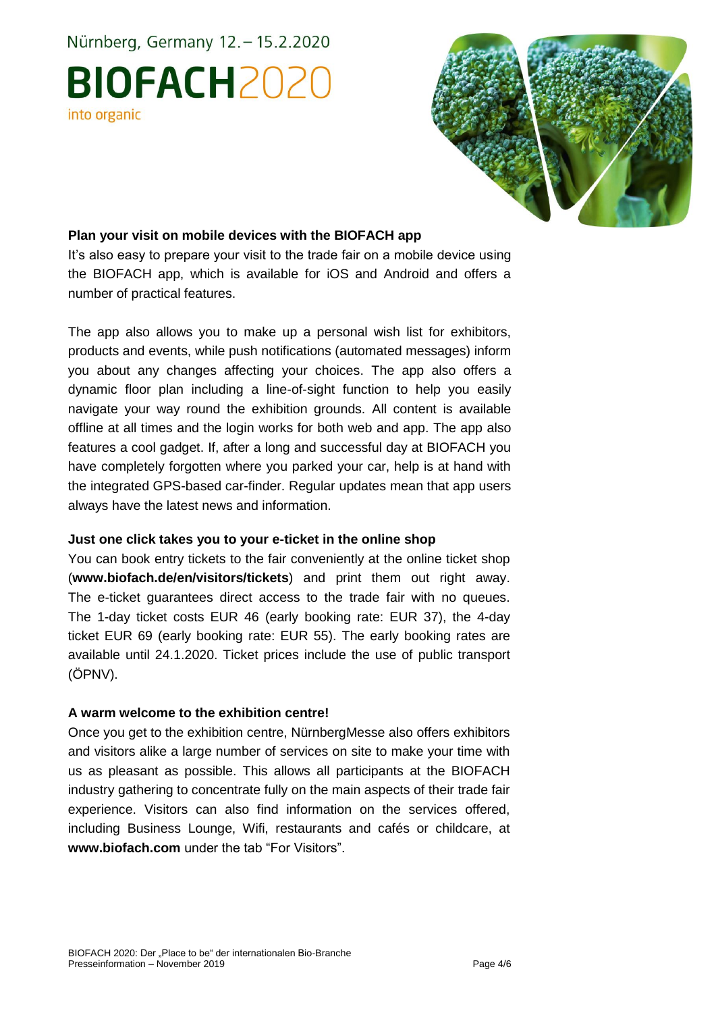# Nürnberg, Germany 12. - 15.2.2020 **BIOFACH2020** into organic



#### **Plan your visit on mobile devices with the BIOFACH app**

It's also easy to prepare your visit to the trade fair on a mobile device using the BIOFACH app, which is available for iOS and Android and offers a number of practical features.

The app also allows you to make up a personal wish list for exhibitors, products and events, while push notifications (automated messages) inform you about any changes affecting your choices. The app also offers a dynamic floor plan including a line-of-sight function to help you easily navigate your way round the exhibition grounds. All content is available offline at all times and the login works for both web and app. The app also features a cool gadget. If, after a long and successful day at BIOFACH you have completely forgotten where you parked your car, help is at hand with the integrated GPS-based car-finder. Regular updates mean that app users always have the latest news and information.

#### **Just one click takes you to your e-ticket in the online shop**

You can book entry tickets to the fair conveniently at the online ticket shop (**www.biofach.de/en/visitors/tickets**) and print them out right away. The e-ticket guarantees direct access to the trade fair with no queues. The 1-day ticket costs EUR 46 (early booking rate: EUR 37), the 4-day ticket EUR 69 (early booking rate: EUR 55). The early booking rates are available until 24.1.2020. Ticket prices include the use of public transport (ÖPNV).

#### **A warm welcome to the exhibition centre!**

Once you get to the exhibition centre, NürnbergMesse also offers exhibitors and visitors alike a large number of services on site to make your time with us as pleasant as possible. This allows all participants at the BIOFACH industry gathering to concentrate fully on the main aspects of their trade fair experience. Visitors can also find information on the services offered, including Business Lounge, Wifi, restaurants and cafés or childcare, at **www.biofach.com** under the tab "For Visitors".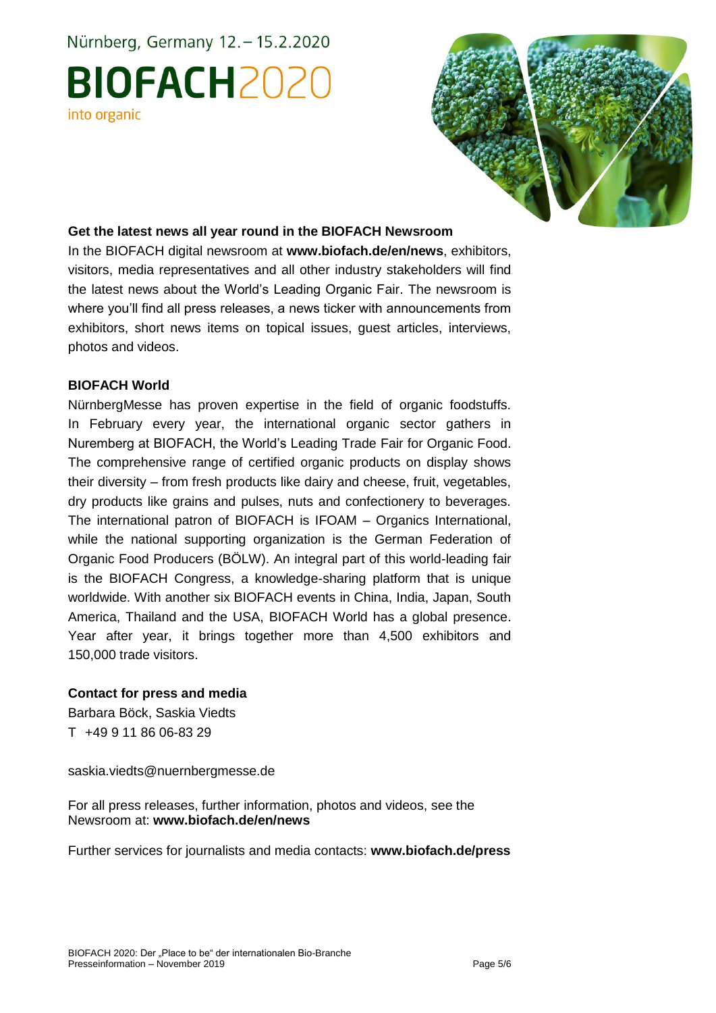# Nürnberg, Germany 12. - 15.2.2020 **BIOFACH2020** into organic



#### **Get the latest news all year round in the BIOFACH Newsroom**

In the BIOFACH digital newsroom at **www.biofach.de/en/news**, exhibitors, visitors, media representatives and all other industry stakeholders will find the latest news about the World's Leading Organic Fair. The newsroom is where you'll find all press releases, a news ticker with announcements from exhibitors, short news items on topical issues, guest articles, interviews, photos and videos.

#### **BIOFACH World**

NürnbergMesse has proven expertise in the field of organic foodstuffs. In February every year, the international organic sector gathers in Nuremberg at BIOFACH, the World's Leading Trade Fair for Organic Food. The comprehensive range of certified organic products on display shows their diversity – from fresh products like dairy and cheese, fruit, vegetables, dry products like grains and pulses, nuts and confectionery to beverages. The international patron of BIOFACH is IFOAM – Organics International, while the national supporting organization is the German Federation of Organic Food Producers (BÖLW). An integral part of this world-leading fair is the BIOFACH Congress, a knowledge-sharing platform that is unique worldwide. With another six BIOFACH events in China, India, Japan, South America, Thailand and the USA, BIOFACH World has a global presence. Year after year, it brings together more than 4,500 exhibitors and 150,000 trade visitors.

#### **Contact for press and media**

Barbara Böck, Saskia Viedts T +49 9 11 86 06-83 29

saskia.viedts@nuernbergmesse.de

For all press releases, further information, photos and videos, see the Newsroom at: **www.biofach.de/en/news**

Further services for journalists and media contacts: **www.biofach.de/press**